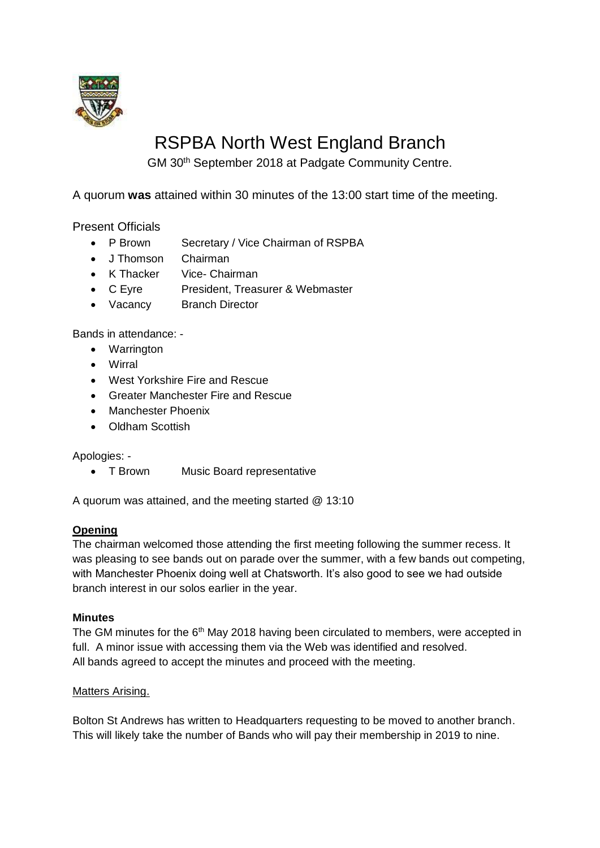

# RSPBA North West England Branch

GM 30th September 2018 at Padgate Community Centre.

A quorum **was** attained within 30 minutes of the 13:00 start time of the meeting.

Present Officials

- P Brown Secretary / Vice Chairman of RSPBA
- J Thomson Chairman
- K Thacker Vice- Chairman
- C Eyre President, Treasurer & Webmaster
- Vacancy Branch Director

Bands in attendance: -

- Warrington
- Wirral
- West Yorkshire Fire and Rescue
- Greater Manchester Fire and Rescue
- Manchester Phoenix
- Oldham Scottish

Apologies: -

• T Brown Music Board representative

A quorum was attained, and the meeting started @ 13:10

### **Opening**

The chairman welcomed those attending the first meeting following the summer recess. It was pleasing to see bands out on parade over the summer, with a few bands out competing, with Manchester Phoenix doing well at Chatsworth. It's also good to see we had outside branch interest in our solos earlier in the year.

### **Minutes**

The GM minutes for the 6<sup>th</sup> May 2018 having been circulated to members, were accepted in full. A minor issue with accessing them via the Web was identified and resolved. All bands agreed to accept the minutes and proceed with the meeting.

### Matters Arising.

Bolton St Andrews has written to Headquarters requesting to be moved to another branch. This will likely take the number of Bands who will pay their membership in 2019 to nine.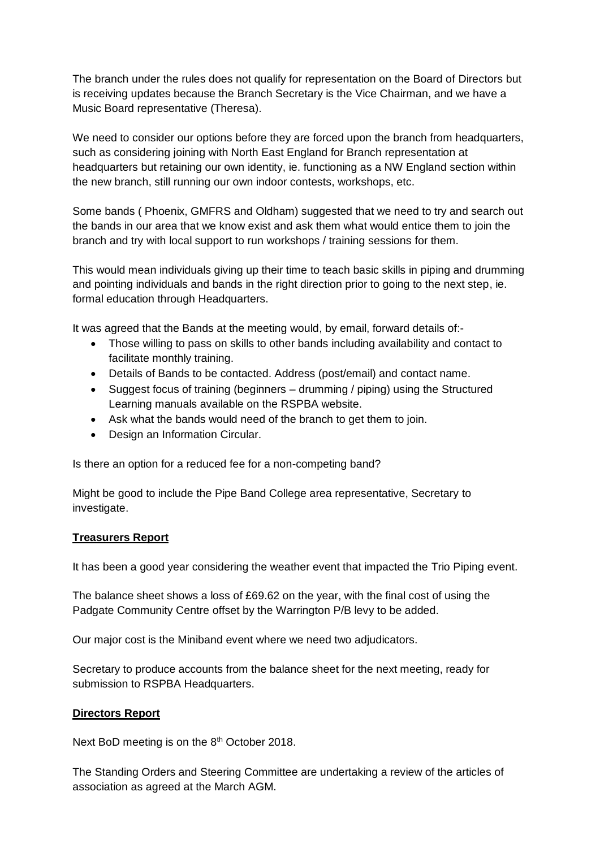The branch under the rules does not qualify for representation on the Board of Directors but is receiving updates because the Branch Secretary is the Vice Chairman, and we have a Music Board representative (Theresa).

We need to consider our options before they are forced upon the branch from headquarters, such as considering joining with North East England for Branch representation at headquarters but retaining our own identity, ie. functioning as a NW England section within the new branch, still running our own indoor contests, workshops, etc.

Some bands ( Phoenix, GMFRS and Oldham) suggested that we need to try and search out the bands in our area that we know exist and ask them what would entice them to join the branch and try with local support to run workshops / training sessions for them.

This would mean individuals giving up their time to teach basic skills in piping and drumming and pointing individuals and bands in the right direction prior to going to the next step, ie. formal education through Headquarters.

It was agreed that the Bands at the meeting would, by email, forward details of:-

- Those willing to pass on skills to other bands including availability and contact to facilitate monthly training.
- Details of Bands to be contacted. Address (post/email) and contact name.
- Suggest focus of training (beginners drumming / piping) using the Structured Learning manuals available on the RSPBA website.
- Ask what the bands would need of the branch to get them to join.
- Design an Information Circular.

Is there an option for a reduced fee for a non-competing band?

Might be good to include the Pipe Band College area representative, Secretary to investigate.

### **Treasurers Report**

It has been a good year considering the weather event that impacted the Trio Piping event.

The balance sheet shows a loss of £69.62 on the year, with the final cost of using the Padgate Community Centre offset by the Warrington P/B levy to be added.

Our major cost is the Miniband event where we need two adjudicators.

Secretary to produce accounts from the balance sheet for the next meeting, ready for submission to RSPBA Headquarters.

### **Directors Report**

Next BoD meeting is on the 8<sup>th</sup> October 2018.

The Standing Orders and Steering Committee are undertaking a review of the articles of association as agreed at the March AGM.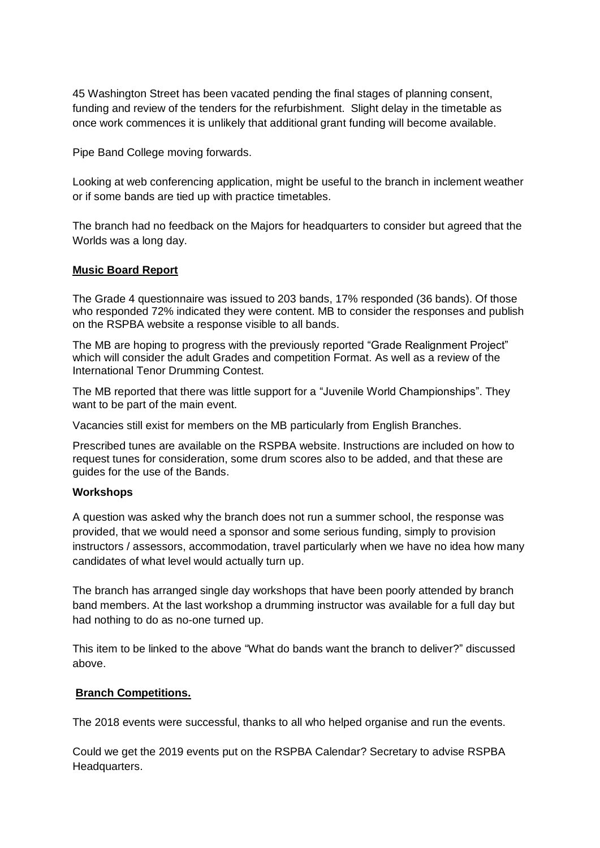45 Washington Street has been vacated pending the final stages of planning consent, funding and review of the tenders for the refurbishment. Slight delay in the timetable as once work commences it is unlikely that additional grant funding will become available.

Pipe Band College moving forwards.

Looking at web conferencing application, might be useful to the branch in inclement weather or if some bands are tied up with practice timetables.

The branch had no feedback on the Majors for headquarters to consider but agreed that the Worlds was a long day.

### **Music Board Report**

The Grade 4 questionnaire was issued to 203 bands, 17% responded (36 bands). Of those who responded 72% indicated they were content. MB to consider the responses and publish on the RSPBA website a response visible to all bands.

The MB are hoping to progress with the previously reported "Grade Realignment Project" which will consider the adult Grades and competition Format. As well as a review of the International Tenor Drumming Contest.

The MB reported that there was little support for a "Juvenile World Championships". They want to be part of the main event.

Vacancies still exist for members on the MB particularly from English Branches.

Prescribed tunes are available on the RSPBA website. Instructions are included on how to request tunes for consideration, some drum scores also to be added, and that these are guides for the use of the Bands.

### **Workshops**

A question was asked why the branch does not run a summer school, the response was provided, that we would need a sponsor and some serious funding, simply to provision instructors / assessors, accommodation, travel particularly when we have no idea how many candidates of what level would actually turn up.

The branch has arranged single day workshops that have been poorly attended by branch band members. At the last workshop a drumming instructor was available for a full day but had nothing to do as no-one turned up.

This item to be linked to the above "What do bands want the branch to deliver?" discussed above.

### **Branch Competitions.**

The 2018 events were successful, thanks to all who helped organise and run the events.

Could we get the 2019 events put on the RSPBA Calendar? Secretary to advise RSPBA Headquarters.